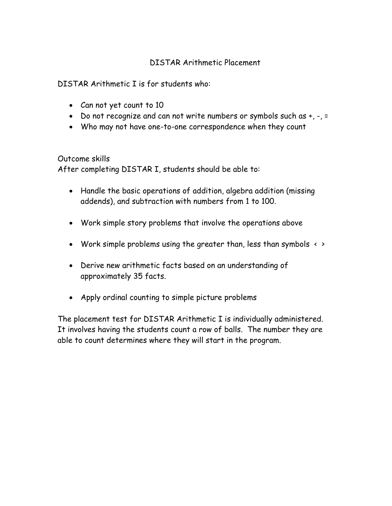## DISTAR Arithmetic Placement

DISTAR Arithmetic I is for students who:

- Can not yet count to 10
- Do not recognize and can not write numbers or symbols such as  $+$ ,  $-$ ,  $=$
- Who may not have one-to-one correspondence when they count

Outcome skills

After completing DISTAR I, students should be able to:

- Handle the basic operations of addition, algebra addition (missing addends), and subtraction with numbers from 1 to 100.
- Work simple story problems that involve the operations above
- Work simple problems using the greater than, less than symbols  $\leftrightarrow$
- Derive new arithmetic facts based on an understanding of approximately 35 facts.
- Apply ordinal counting to simple picture problems

The placement test for DISTAR Arithmetic I is individually administered. It involves having the students count a row of balls. The number they are able to count determines where they will start in the program.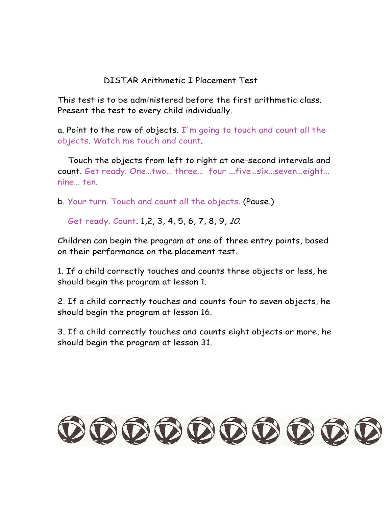## DISTAR Arithmetic I Placement Test

This test is to be administered before the first arithmetic class. Present the test to every child individually.

a. Point to the row of objects.  $I'm$  going to touch and count all the objects. Watch me touch and count.

 Touch the objects from left to right at one-second intervals and count. Get ready. One…two… three… four ...five…six…seven…eight… nine… ten.

b. Your turn. Touch and count all the objects. (Pause.)

Get ready. Count. 1,2, 3, 4, 5, 6, 7, 8, 9, 10.

Children can begin the program at one of three entry points, based on their performance on the placement test.

1. If a child correctly touches and counts three objects or less, he should begin the program at lesson 1.

2. If a child correctly touches and counts four to seven objects, he should begin the program at lesson 16.

3. If a child correctly touches and counts eight objects or more, he should begin the program at lesson 31.

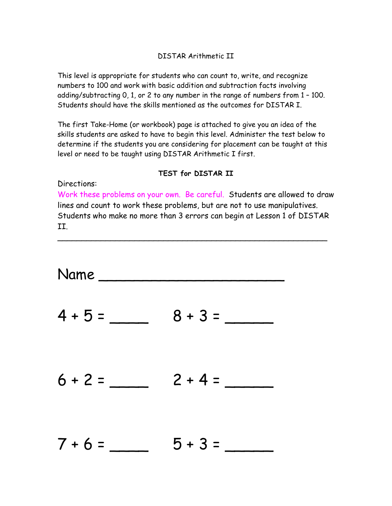## DISTAR Arithmetic II

This level is appropriate for students who can count to, write, and recognize numbers to 100 and work with basic addition and subtraction facts involving adding/subtracting 0, 1, or 2 to any number in the range of numbers from 1 – 100. Students should have the skills mentioned as the outcomes for DISTAR I.

The first Take-Home (or workbook) page is attached to give you an idea of the skills students are asked to have to begin this level. Administer the test below to determine if the students you are considering for placement can be taught at this level or need to be taught using DISTAR Arithmetic I first.

## **TEST for DISTAR II**

Directions:

Work these problems on your own. Be careful. Students are allowed to draw lines and count to work these problems, but are not to use manipulatives. Students who make no more than 3 errors can begin at Lesson 1 of DISTAR II.

\_\_\_\_\_\_\_\_\_\_\_\_\_\_\_\_\_\_\_\_\_\_\_\_\_\_\_\_\_\_\_\_\_\_\_\_\_\_\_\_\_\_\_\_\_\_\_\_\_\_\_\_\_\_\_\_

Name \_\_\_\_\_\_\_\_\_\_\_\_\_\_\_\_\_\_\_\_\_  $4 + 5 = 8 + 3 = 1$  $6 + 2 = 2 + 4 =$  $7 + 6 = 5 + 3 =$